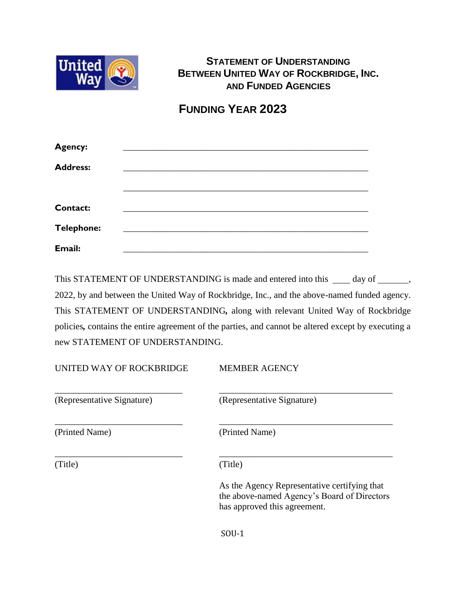

# **STATEMENT OF UNDERSTANDING BETWEEN UNITED WAY OF ROCKBRIDGE, INC. AND FUNDED AGENCIES**

**FUNDING YEAR 2023**

| Agency:           |  |
|-------------------|--|
| <b>Address:</b>   |  |
|                   |  |
|                   |  |
| <b>Contact:</b>   |  |
| <b>Telephone:</b> |  |
| Email:            |  |

This STATEMENT OF UNDERSTANDING is made and entered into this  $\_\_\_$  day of  $\_\_\_\_\,$ 2022, by and between the United Way of Rockbridge, Inc., and the above-named funded agency. This STATEMENT OF UNDERSTANDING*,* along with relevant United Way of Rockbridge policies*,* contains the entire agreement of the parties, and cannot be altered except by executing a new STATEMENT OF UNDERSTANDING.

| UNITED WAY OF ROCKBRIDGE   | <b>MEMBER AGENCY</b>                                                                                                        |  |
|----------------------------|-----------------------------------------------------------------------------------------------------------------------------|--|
| (Representative Signature) | (Representative Signature)                                                                                                  |  |
| (Printed Name)             | (Printed Name)                                                                                                              |  |
| (Title)                    | (Title)                                                                                                                     |  |
|                            | As the Agency Representative certifying that<br>the above-named Agency's Board of Directors<br>has approved this agreement. |  |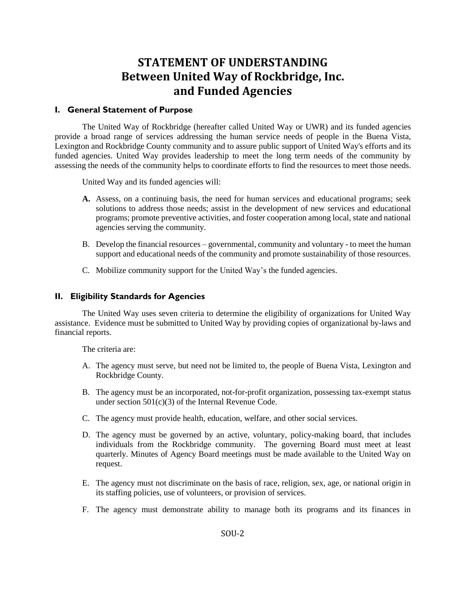# **STATEMENT OF UNDERSTANDING Between United Way of Rockbridge, Inc. and Funded Agencies**

#### **I. General Statement of Purpose**

The United Way of Rockbridge (hereafter called United Way or UWR) and its funded agencies provide a broad range of services addressing the human service needs of people in the Buena Vista, Lexington and Rockbridge County community and to assure public support of United Way's efforts and its funded agencies. United Way provides leadership to meet the long term needs of the community by assessing the needs of the community helps to coordinate efforts to find the resources to meet those needs.

United Way and its funded agencies will:

- **A.** Assess, on a continuing basis, the need for human services and educational programs; seek solutions to address those needs; assist in the development of new services and educational programs; promote preventive activities, and foster cooperation among local, state and national agencies serving the community.
- B. Develop the financial resources governmental, community and voluntary to meet the human support and educational needs of the community and promote sustainability of those resources.
- C. Mobilize community support for the United Way's the funded agencies.

#### **II. Eligibility Standards for Agencies**

The United Way uses seven criteria to determine the eligibility of organizations for United Way assistance. Evidence must be submitted to United Way by providing copies of organizational by-laws and financial reports.

The criteria are:

- A. The agency must serve, but need not be limited to, the people of Buena Vista, Lexington and Rockbridge County.
- B. The agency must be an incorporated, not-for-profit organization, possessing tax-exempt status under section 501(c)(3) of the Internal Revenue Code.
- C. The agency must provide health, education, welfare, and other social services.
- D. The agency must be governed by an active, voluntary, policy-making board, that includes individuals from the Rockbridge community. The governing Board must meet at least quarterly. Minutes of Agency Board meetings must be made available to the United Way on request.
- E. The agency must not discriminate on the basis of race, religion, sex, age, or national origin in its staffing policies, use of volunteers, or provision of services.
- F. The agency must demonstrate ability to manage both its programs and its finances in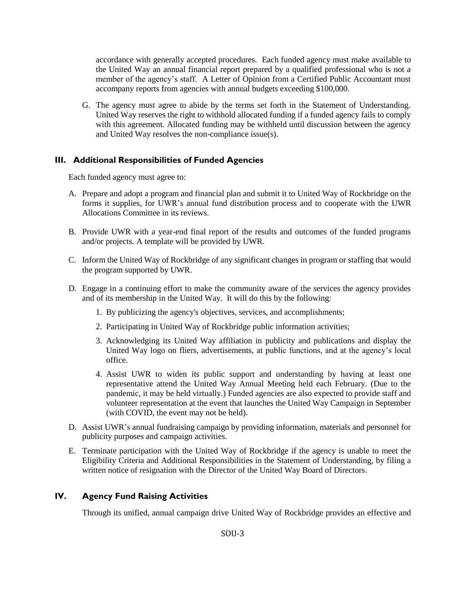accordance with generally accepted procedures. Each funded agency must make available to the United Way an annual financial report prepared by a qualified professional who is not a member of the agency's staff. A Letter of Opinion from a Certified Public Accountant must accompany reports from agencies with annual budgets exceeding \$100,000.

G. The agency must agree to abide by the terms set forth in the Statement of Understanding. United Way reserves the right to withhold allocated funding if a funded agency fails to comply with this agreement. Allocated funding may be withheld until discussion between the agency and United Way resolves the non-compliance issue(s).

## **III. Additional Responsibilities of Funded Agencies**

Each funded agency must agree to:

- A. Prepare and adopt a program and financial plan and submit it to United Way of Rockbridge on the forms it supplies, for UWR's annual fund distribution process and to cooperate with the UWR Allocations Committee in its reviews.
- B. Provide UWR with a year-end final report of the results and outcomes of the funded programs and/or projects. A template will be provided by UWR.
- C. Inform the United Way of Rockbridge of any significant changes in program or staffing that would the program supported by UWR.
- D. Engage in a continuing effort to make the community aware of the services the agency provides and of its membership in the United Way. It will do this by the following:
	- 1. By publicizing the agency's objectives, services, and accomplishments;
	- 2. Participating in United Way of Rockbridge public information activities;
	- 3. Acknowledging its United Way affiliation in publicity and publications and display the United Way logo on fliers, advertisements, at public functions, and at the agency's local office.
	- 4. Assist UWR to widen its public support and understanding by having at least one representative attend the United Way Annual Meeting held each February. (Due to the pandemic, it may be held virtually.) Funded agencies are also expected to provide staff and volunteer representation at the event that launches the United Way Campaign in September (with COVID, the event may not be held).
- D. Assist UWR's annual fundraising campaign by providing information, materials and personnel for publicity purposes and campaign activities.
- E. Terminate participation with the United Way of Rockbridge if the agency is unable to meet the Eligibility Criteria and Additional Responsibilities in the Statement of Understanding, by filing a written notice of resignation with the Director of the United Way Board of Directors.

# **IV. Agency Fund Raising Activities**

Through its unified, annual campaign drive United Way of Rockbridge provides an effective and